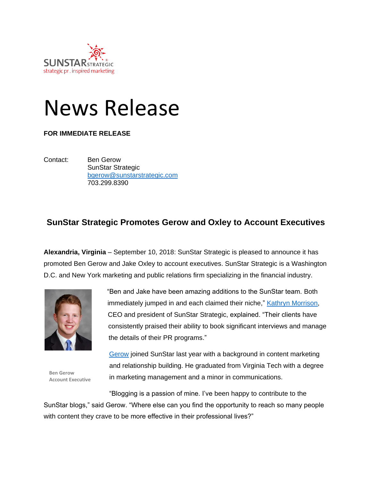

## News Release

## **FOR IMMEDIATE RELEASE**

Contact: Ben Gerow SunStar Strategic [bgerow@sunstarstrategic.com](mailto:bgerow@sunstarstrategic.com) 703.299.8390

## **SunStar Strategic Promotes Gerow and Oxley to Account Executives**

**Alexandria, Virginia** – September 10, 2018: SunStar Strategic is pleased to announce it has promoted Ben Gerow and Jake Oxley to account executives. SunStar Strategic is a Washington D.C. and New York marketing and public relations firm specializing in the financial industry.



**Ben Gerow Account Executive** "Ben and Jake have been amazing additions to the SunStar team. Both immediately jumped in and each claimed their niche," [Kathryn Morrison,](https://www.sunstarstrategic.com/kathryn-morrison-ceo-president) CEO and president of SunStar Strategic, explained. "Their clients have consistently praised their ability to book significant interviews and manage the details of their PR programs."

[Gerow](https://www.sunstarstrategic.com/ben-gerow) joined SunStar last year with a background in content marketing and relationship building. He graduated from Virginia Tech with a degree in marketing management and a minor in communications.

"Blogging is a passion of mine. I've been happy to contribute to the SunStar blogs," said Gerow. "Where else can you find the opportunity to reach so many people with content they crave to be more effective in their professional lives?"